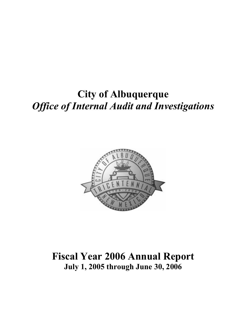# City of Albuquerque **Office of Internal Audit and Investigations**



Fiscal Year 2006 Annual Report July 1, 2005 through June 30, 2006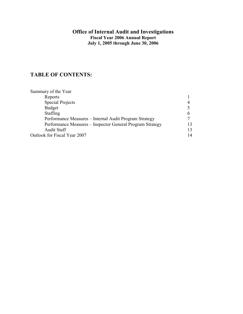#### Office of Internal Audit and Investigations Fiscal Year 2006 Annual Report July 1, 2005 through June 30, 2006

# TABLE OF CONTENTS:

| Summary of the Year                                       |    |
|-----------------------------------------------------------|----|
| Reports                                                   |    |
| <b>Special Projects</b>                                   | 4  |
| <b>Budget</b>                                             |    |
| Staffing                                                  | O  |
| Performance Measures - Internal Audit Program Strategy    |    |
| Performance Measures – Inspector General Program Strategy |    |
| <b>Audit Staff</b>                                        |    |
| Outlook for Fiscal Year 2007                              | 14 |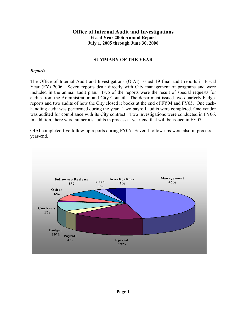#### Office of Internal Audit and Investigations Fiscal Year 2006 Annual Report July 1, 2005 through June 30, 2006

#### SUMMARY OF THE YEAR

#### Reports

The Office of Internal Audit and Investigations (OIAI) issued 19 final audit reports in Fiscal Year (FY) 2006. Seven reports dealt directly with City management of programs and were included in the annual audit plan. Two of the reports were the result of special requests for audits from the Administration and City Council. The department issued two quarterly budget reports and two audits of how the City closed it books at the end of FY04 and FY05. One cashhandling audit was performed during the year. Two payroll audits were completed. One vendor was audited for compliance with its City contract. Two investigations were conducted in FY06. In addition, there were numerous audits in process at year-end that will be issued in FY07.

OIAI completed five follow-up reports during FY06. Several follow-ups were also in process at year-end.

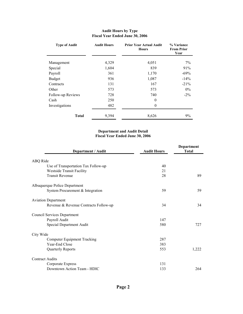| <b>Type of Audit</b> | <b>Audit Hours</b> | <b>Prior Year Actual Audit</b><br><b>Hours</b> | % Variance<br><b>From Prior</b><br>Year |  |
|----------------------|--------------------|------------------------------------------------|-----------------------------------------|--|
| Management           | 4,329              | 4,051                                          | $7\%$                                   |  |
| Special              | 1,604              | 839                                            | 91%                                     |  |
| Payroll              | 361                | 1,170                                          | $-69\%$                                 |  |
| <b>Budget</b>        | 936                | 1,087                                          | $-14%$                                  |  |
| Contracts            | 131                | 167                                            | $-21\%$                                 |  |
| Other                | 573                | 573                                            | $0\%$                                   |  |
| Follow-up Reviews    | 728                | 740                                            | $-2\%$                                  |  |
| Cash                 | 250                | $\theta$                                       |                                         |  |
| Investigations       | 482                | $\overline{0}$                                 |                                         |  |
| <b>Total</b>         | 9,394              | 8,626                                          | 9%                                      |  |

#### Audit Hours by Type Fiscal Year Ended June 30, 2006

#### Department and Audit Detail Fiscal Year Ended June 30, 2006

| Department / Audit                    | <b>Audit Hours</b> | Department<br><b>Total</b> |  |
|---------------------------------------|--------------------|----------------------------|--|
| ABQ Ride                              |                    |                            |  |
| Use of Transportation Tax Follow-up   | 40                 |                            |  |
| <b>Westside Transit Facility</b>      | 21                 |                            |  |
| <b>Transit Revenue</b>                | 28                 | 89                         |  |
| Albuquerque Police Department         |                    |                            |  |
| System Procurement & Integration      | 59                 | 59                         |  |
| <b>Aviation Department</b>            |                    |                            |  |
| Revenue & Revenue Contracts Follow-up | 34                 | 34                         |  |
| <b>Council Services Department</b>    |                    |                            |  |
| Payroll Audit                         | 147                |                            |  |
| Special Department Audit              | 580                | 727                        |  |
| City Wide                             |                    |                            |  |
| <b>Computer Equipment Tracking</b>    | 287                |                            |  |
| Year-End Close                        | 383                |                            |  |
| Quarterly Reports                     | 553                | 1,222                      |  |
| <b>Contract Audits</b>                |                    |                            |  |
| Corporate Express                     | 131                |                            |  |
| Downtown Action Team - HDIC           | 133                | 264                        |  |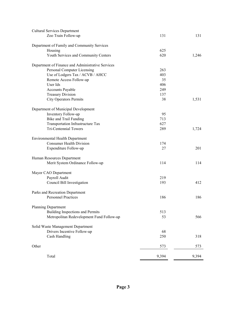| <b>Cultural Services Department</b>               |       |       |
|---------------------------------------------------|-------|-------|
| Zoo Train Follow-up                               | 131   | 131   |
| Department of Family and Community Services       |       |       |
| Housing                                           | 625   |       |
| Youth Services and Community Centers              | 620   | 1,246 |
| Department of Finance and Administrative Services |       |       |
| Personal Computer Licensing                       | 263   |       |
| Use of Lodgers Tax / ACVB / AHCC                  | 403   |       |
| Remote Access Follow-up                           | 35    |       |
| User Ids                                          | 406   |       |
| <b>Accounts Payable</b>                           | 249   |       |
| <b>Treasury Division</b>                          | 137   |       |
| <b>City Operators Permits</b>                     | 38    | 1,531 |
| Department of Municipal Development               |       |       |
| Inventory Follow-up                               | 95    |       |
| <b>Bike and Trail Funding</b>                     | 713   |       |
| Transportation Infrastructure Tax                 | 627   |       |
| <b>Tri-Centennial Towers</b>                      | 289   | 1,724 |
| <b>Environmental Health Department</b>            |       |       |
| <b>Consumer Health Division</b>                   | 174   |       |
| Expenditure Follow-up                             | 27    | 201   |
| Human Resources Department                        |       |       |
| Merit System Ordinance Follow-up                  | 114   | 114   |
| Mayor CAO Department                              |       |       |
| Payroll Audit                                     | 219   |       |
| Council Bill Investigation                        | 193   | 412   |
| Parks and Recreation Department                   |       |       |
| <b>Personnel Practices</b>                        | 186   | 186   |
| Planning Department                               |       |       |
| Building Inspections and Permits                  | 513   |       |
| Metropolitan Redevelopment Fund Follow-up         | 53    | 566   |
| Solid Waste Management Department                 |       |       |
| Drivers Incentive Follow-up                       | 68    |       |
| Cash Handling                                     | 250   | 318   |
| Other                                             | 573   | 573   |
| Total                                             | 9,394 | 9,394 |
|                                                   |       |       |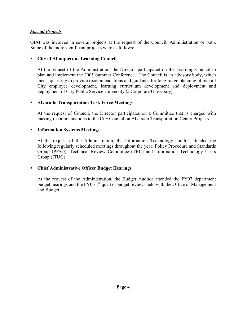#### **Special Projects**

OIAI was involved in several projects at the request of the Council, Administration or both. Some of the more significant projects were as follows:

#### City of Albuquerque Learning Council

 At the request of the Administration, the Director participated on the Learning Council to plan and implement the 2005 Summer Conference. The Council is an advisory body, which meets quarterly to provide recommendations and guidance for long-range planning of overall City employee development, learning curriculum development and deployment and deployment of City Public Service University (a Corporate University).

#### Alvarado Transportation Task Force Meetings

At the request of Council, the Director participates on a Committee that is charged with making recommendations to the City Council on Alvarado Transportation Center Projects.

#### **Information Systems Meetings**

At the request of the Administration, the Information Technology auditor attended the following regularly scheduled meetings throughout the year: Policy Procedure and Standards Group (PPSG), Technical Review Committee (TRC) and Information Technology Users Group (ITUG).

#### Chief Administrative Officer Budget Hearings

 At the request of the Administration, the Budget Auditor attended the FY07 department budget hearings and the FY06 1<sup>st</sup> quarter budget reviews held with the Office of Management and Budget.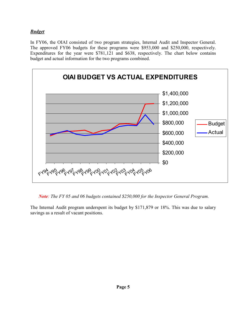#### **Budget**

In FY06, the OIAI consisted of two program strategies, Internal Audit and Inspector General. The approved FY06 budgets for these programs were \$953,000 and \$250,000, respectively. Expenditures for the year were \$781,121 and \$638, respectively. The chart below contains budget and actual information for the two programs combined.



Note: The FY 05 and 06 budgets contained \$250,000 for the Inspector General Program.

The Internal Audit program underspent its budget by \$171,879 or 18%. This was due to salary savings as a result of vacant positions.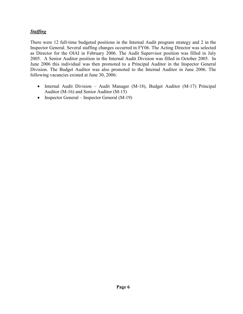#### **Staffing**

There were 12 full-time budgeted positions in the Internal Audit program strategy and 2 in the Inspector General. Several staffing changes occurred in FY06. The Acting Director was selected as Director for the OIAI in February 2006. The Audit Supervisor position was filled in July 2005. A Senior Auditor position in the Internal Audit Division was filled in October 2005. In June 2006 this individual was then promoted to a Principal Auditor in the Inspector General Division. The Budget Auditor was also promoted to the Internal Auditor in June 2006. The following vacancies existed at June 30, 2006:

- Internal Audit Division Audit Manager (M-18), Budget Auditor (M-17) Principal Auditor (M-16) and Senior Auditor (M-15)
- Inspector General Inspector General (M-19)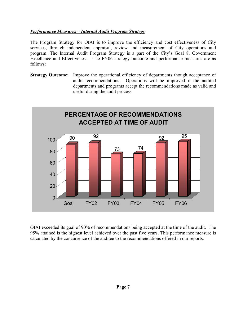#### Performance Measures – Internal Audit Program Strategy

The Program Strategy for OIAI is to improve the efficiency and cost effectiveness of City services, through independent appraisal, review and measurement of City operations and program. The Internal Audit Program Strategy is a part of the City's Goal 8, Government Excellence and Effectiveness. The FY06 strategy outcome and performance measures are as follows:

Strategy Outcome: Improve the operational efficiency of departments though acceptance of audit recommendations. Operations will be improved if the audited departments and programs accept the recommendations made as valid and useful during the audit process.



OIAI exceeded its goal of 90% of recommendations being accepted at the time of the audit. The 95% attained is the highest level achieved over the past five years. This performance measure is calculated by the concurrence of the auditee to the recommendations offered in our reports.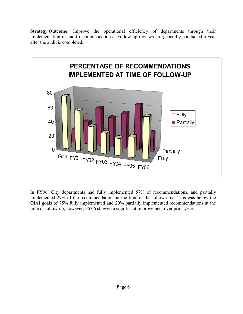Strategy Outcome: Improve the operational efficiency of departments through their implementation of audit recommendations. Follow-up reviews are generally conducted a year after the audit is completed.



In FY06, City departments had fully implemented 57% of recommendations, and partially implemented 27% of the recommendations at the time of the follow-ups. This was below the OIAI goals of 75% fully implemented and 20% partially implemented recommendations at the time of follow-up; however, FY06 showed a significant improvement over prior years.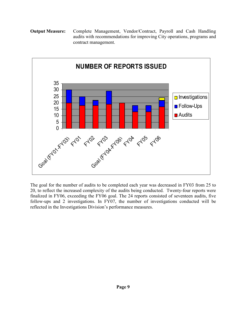#### Output Measure: Complete Management, Vendor/Contract, Payroll and Cash Handling audits with recommendations for improving City operations, programs and contract management.



The goal for the number of audits to be completed each year was decreased in FY03 from 25 to 20, to reflect the increased complexity of the audits being conducted. Twenty-four reports were finalized in FY06, exceeding the FY06 goal. The 24 reports consisted of seventeen audits, five follow-ups and 2 investigations. In FY07, the number of investigations conducted will be reflected in the Investigations Division's performance measures.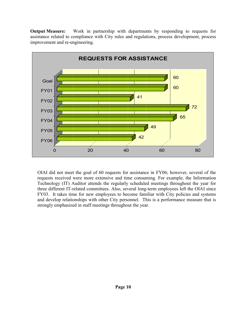Output Measure: Work in partnership with departments by responding to requests for assistance related to compliance with City rules and regulations, process development, process improvement and re-engineering.



OIAI did not meet the goal of 60 requests for assistance in FY06; however, several of the requests received were more extensive and time consuming. For example, the Information Technology (IT) Auditor attends the regularly scheduled meetings throughout the year for three different IT-related committees. Also, several long-term employees left the OIAI since FY03. It takes time for new employees to become familiar with City policies and systems and develop relationships with other City personnel. This is a performance measure that is strongly emphasized in staff meetings throughout the year.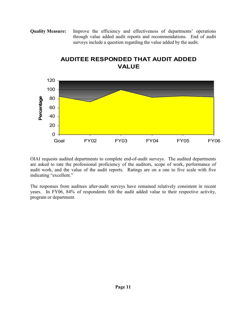Quality Measure: Improve the efficiency and effectiveness of departments' operations through value added audit reports and recommendations. End of audit surveys include a question regarding the value added by the audit.



# AUDITEE RESPONDED THAT AUDIT ADDED VALUE

OIAI requests audited departments to complete end-of-audit surveys. The audited departments are asked to rate the professional proficiency of the auditors, scope of work, performance of audit work, and the value of the audit reports. Ratings are on a one to five scale with five indicating "excellent."

The responses from auditees after-audit surveys have remained relatively consistent in recent years. In FY06, 84% of respondents felt the audit added value to their respective activity, program or department.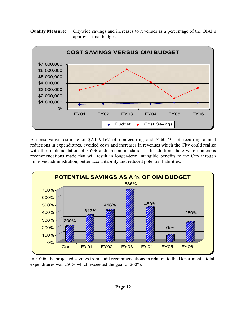Quality Measure: Citywide savings and increases to revenues as a percentage of the OIAI's approved final budget.



A conservative estimate of \$2,119,167 of nonrecurring and \$260,735 of recurring annual reductions in expenditures, avoided costs and increases in revenues which the City could realize with the implementation of FY06 audit recommendations. In addition, there were numerous recommendations made that will result in longer-term intangible benefits to the City through improved administration, better accountability and reduced potential liabilities.



In FY06, the projected savings from audit recommendations in relation to the Department's total expenditures was 250% which exceeded the goal of 200%.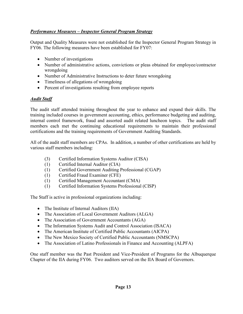### Performance Measures – Inspector General Program Strategy

Output and Quality Measures were not established for the Inspector General Program Strategy in FY06. The following measures have been established for FY07:

- Number of investigations
- Number of administrative actions, convictions or pleas obtained for employee/contractor wrongdoing
- Number of Administrative Instructions to deter future wrongdoing
- Timeliness of allegations of wrongdoing
- Percent of investigations resulting from employee reports

#### Audit Staff

The audit staff attended training throughout the year to enhance and expand their skills. The training included courses in government accounting, ethics, performance budgeting and auditing, internal control framework, fraud and assorted audit related luncheon topics. The audit staff members each met the continuing educational requirements to maintain their professional certifications and the training requirements of Government Auditing Standards.

All of the audit staff members are CPAs. In addition, a number of other certifications are held by various staff members including:

- (3) Certified Information Systems Auditor (CISA)
- (1) Certified Internal Auditor (CIA)
- (1) Certified Government Auditing Professional (CGAP)
- (1) Certified Fraud Examiner (CFE)
- (1) Certified Management Accountant (CMA)
- (1) Certified Information Systems Professional (CISP)

The Staff is active in professional organizations including:

- The Institute of Internal Auditors (IIA)
- The Association of Local Government Auditors (ALGA)
- The Association of Government Accountants (AGA)
- The Information Systems Audit and Control Association (ISACA)
- The American Institute of Certified Public Accountants (AICPA)
- The New Mexico Society of Certified Public Accountants (NMSCPA)
- The Association of Latino Professionals in Finance and Accounting (ALPFA)

One staff member was the Past President and Vice-President of Programs for the Albuquerque Chapter of the IIA during FY06. Two auditors served on the IIA Board of Governors.